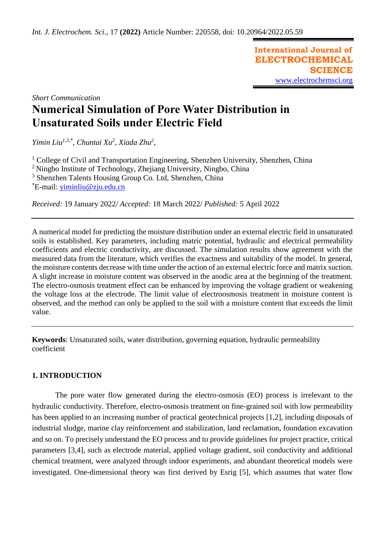**International Journal of ELECTROCHEMICAL SCIENCE** [www.electrochemsci.org](http://www.electrochemsci.org/)

*Short Communication*

# **Numerical Simulation of Pore Water Distribution in Unsaturated Soils under Electric Field**

*Yimin Liu1,3,\*, Chuntai Xu<sup>2</sup> , Xiada Zhu<sup>2</sup> ,*

 College of Civil and Transportation Engineering, Shenzhen University, Shenzhen, China Ningbo Institute of Technology, Zhejiang University, Ningbo, China Shenzhen Talents Housing Group Co. Ltd, Shenzhen, China \*E-mail: [yiminliu@zju.edu.cn](mailto:yiminliu@zju.edu.cn)

*Received:* 19 January 2022*/ Accepted:* 18 March 2022/ *Published:* 5 April 2022

A numerical model for predicting the moisture distribution under an external electric field in unsaturated soils is established. Key parameters, including matric potential, hydraulic and electrical permeability coefficients and electric conductivity, are discussed. The simulation results show agreement with the measured data from the literature, which verifies the exactness and suitability of the model. In general, the moisture contents decrease with time under the action of an external electric force and matrix suction. A slight increase in moisture content was observed in the anodic area at the beginning of the treatment. The electro-osmosis treatment effect can be enhanced by improving the voltage gradient or weakening the voltage loss at the electrode. The limit value of electroosmosis treatment in moisture content is observed, and the method can only be applied to the soil with a moisture content that exceeds the limit value.

**Keywords**: Unsaturated soils, water distribution, governing equation, hydraulic permeability coefficient

# **1. INTRODUCTION**

The pore water flow generated during the electro-osmosis (EO) process is irrelevant to the hydraulic conductivity. Therefore, electro-osmosis treatment on fine-grained soil with low permeability has been applied to an increasing number of practical geotechnical projects [1,2], including disposals of industrial sludge, marine clay reinforcement and stabilization, land reclamation, foundation excavation and so on. To precisely understand the EO process and to provide guidelines for project practice, critical parameters [3,4], such as electrode material, applied voltage gradient, soil conductivity and additional chemical treatment, were analyzed through indoor experiments, and abundant theoretical models were investigated. One-dimensional theory was first derived by Esrig [5], which assumes that water flow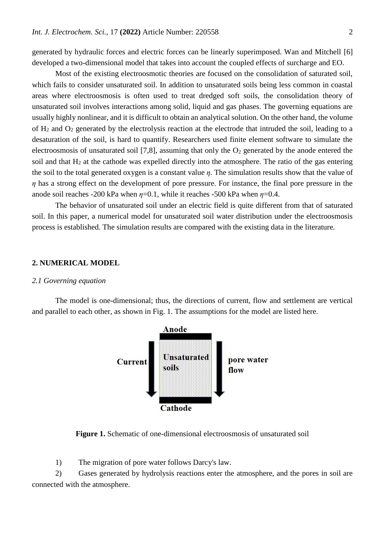generated by hydraulic forces and electric forces can be linearly superimposed. Wan and Mitchell [6] developed a two-dimensional model that takes into account the coupled effects of surcharge and EO.

Most of the existing electroosmotic theories are focused on the consolidation of saturated soil, which fails to consider unsaturated soil. In addition to unsaturated soils being less common in coastal areas where electroosmosis is often used to treat dredged soft soils, the consolidation theory of unsaturated soil involves interactions among solid, liquid and gas phases. The governing equations are usually highly nonlinear, and it is difficult to obtain an analytical solution. On the other hand, the volume of H<sup>2</sup> and O<sup>2</sup> generated by the electrolysis reaction at the electrode that intruded the soil, leading to a desaturation of the soil, is hard to quantify. Researchers used finite element software to simulate the electroosmosis of unsaturated soil [7,8], assuming that only the  $O<sub>2</sub>$  generated by the anode entered the soil and that  $H_2$  at the cathode was expelled directly into the atmosphere. The ratio of the gas entering the soil to the total generated oxygen is a constant value *η.* The simulation results show that the value of *η* has a strong effect on the development of pore pressure. For instance, the final pore pressure in the anode soil reaches -200 kPa when  $\eta$ =0.1, while it reaches -500 kPa when  $\eta$ =0.4.

The behavior of unsaturated soil under an electric field is quite different from that of saturated soil. In this paper, a numerical model for unsaturated soil water distribution under the electroosmosis process is established. The simulation results are compared with the existing data in the literature.

### **2. NUMERICAL MODEL**

### *2.1 Governing equation*

The model is one-dimensional; thus, the directions of current, flow and settlement are vertical and parallel to each other, as shown in Fig. 1. The assumptions for the model are listed here.



**Figure 1.** Schematic of one-dimensional electroosmosis of unsaturated soil

1) The migration of pore water follows Darcy's law.

2) Gases generated by hydrolysis reactions enter the atmosphere, and the pores in soil are connected with the atmosphere.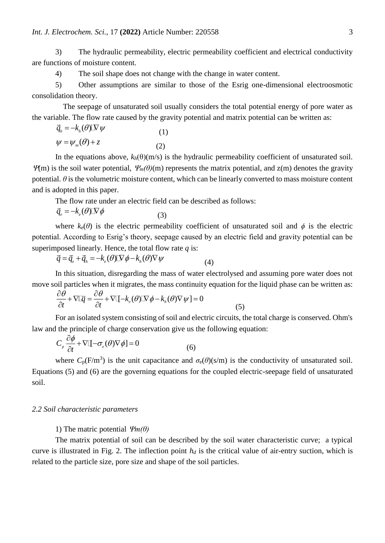3) The hydraulic permeability, electric permeability coefficient and electrical conductivity are functions of moisture content.

4) The soil shape does not change with the change in water content.

5) Other assumptions are similar to those of the Esrig one-dimensional electroosmotic consolidation theory.

 The seepage of unsaturated soil usually considers the total potential energy of pore water as the variable. The flow rate caused by the gravity potential and matrix potential can be written as:

$$
\vec{q}_h = -k_h(\theta)\mathbb{N}\,\psi
$$
\n
$$
\psi = \psi_m(\theta) + z
$$
\n(1)\n(2)

In the equations above,  $k_h(\theta)(m/s)$  is the hydraulic permeability coefficient of unsaturated soil.  $\mathcal{W}(m)$  is the soil water potential,  $\mathcal{W}_m(\theta)(m)$  represents the matrix potential, and z(m) denotes the gravity potential.  $\theta$  is the volumetric moisture content, which can be linearly converted to mass moisture content and is adopted in this paper.

The flow rate under an electric field can be described as follows:

$$
\vec{q}_e = -k_e(\theta)\mathbf{N}\phi\tag{3}
$$

where  $k_e(\theta)$  is the electric permeability coefficient of unsaturated soil and  $\phi$  is the electric potential. According to Esrig's theory, seepage caused by an electric field and gravity potential can be superimposed linearly. Hence, the total flow rate *q* is:

$$
\vec{q} = \vec{q}_e + \vec{q}_h = -k_e(\theta)\mathbb{N}\phi - k_h(\theta)\nabla\psi
$$
\n(4)

In this situation, disregarding the mass of water electrolysed and assuming pore water does not

move soil particles when it migrates, the mass continuity equation for the liquid phase can be written as:  
\n
$$
\frac{\partial \theta}{\partial t} + \nabla \Box \vec{q} = \frac{\partial \theta}{\partial t} + \nabla \Box - k_e(\theta) \Box \nabla \phi - k_h(\theta) \nabla \psi = 0
$$
\n(5)

For an isolated system consisting of soil and electric circuits, the total charge is conserved. Ohm's law and the principle of charge conservation give us the following equation:

$$
C_{p} \frac{\partial \phi}{\partial t} + \nabla \left[ -\sigma_{e}(\theta) \nabla \phi \right] = 0
$$
 (6)

where  $C_p(F/m^3)$  is the unit capacitance and  $\sigma_e(\theta)(s/m)$  is the conductivity of unsaturated soil. Equations (5) and (6) are the governing equations for the coupled electric-seepage field of unsaturated soil.

### *2.2 Soil characteristic parameters*

1) The matric potential  $\mathcal{V}_m(\theta)$ 

The matrix potential of soil can be described by the soil water characteristic curve; a typical curve is illustrated in Fig. 2. The inflection point  $h_d$  is the critical value of air-entry suction, which is related to the particle size, pore size and shape of the soil particles.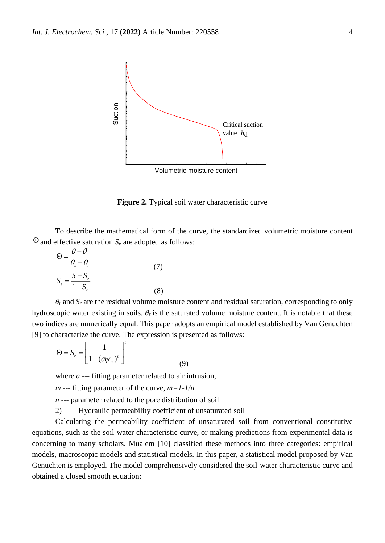

**Figure 2.** Typical soil water characteristic curve

To describe the mathematical form of the curve, the standardized volumetric moisture content  $\Theta$  and effective saturation  $S_e$  are adopted as follows:

$$
\Theta = \frac{\theta - \theta_r}{\theta_s - \theta_r}
$$
  

$$
S_e = \frac{S - S_r}{1 - S_r}
$$
 (7)

 $\theta_r$  and  $S_r$  are the residual volume moisture content and residual saturation, corresponding to only hydroscopic water existing in soils.  $\theta_s$  is the saturated volume moisture content. It is notable that these two indices are numerically equal. This paper adopts an empirical model established by Van Genuchten [9] to characterize the curve. The expression is presented as follows:

$$
\Theta = S_e = \left[ \frac{1}{1 + \left( a \psi_m \right)^n} \right]^m \tag{9}
$$

where *a* --- fitting parameter related to air intrusion,

*m* --- fitting parameter of the curve, *m=1-1/n*

*n* --- parameter related to the pore distribution of soil

2) Hydraulic permeability coefficient of unsaturated soil

Calculating the permeability coefficient of unsaturated soil from conventional constitutive equations, such as the soil-water characteristic curve, or making predictions from experimental data is concerning to many scholars. Mualem [10] classified these methods into three categories: empirical models, macroscopic models and statistical models. In this paper, a statistical model proposed by Van Genuchten is employed. The model comprehensively considered the soil-water characteristic curve and obtained a closed smooth equation: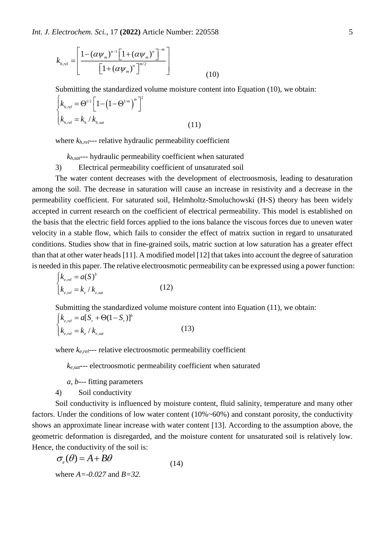$$
k_{h,rel} = \left[ \frac{1 - (\alpha \psi_m)^{n-1} \left[ 1 + (\alpha \psi_m)^n \right]^{-m}}{\left[ 1 + (\alpha \psi_m)^n \right]^{-m/2}} \right]
$$
(10)

Submitting the standardized volume moisture content into Equation (10), we obtain:

$$
\begin{cases} k_{h,rel} = \Theta^{1/2} \left[ 1 - \left( 1 - \Theta^{1/m} \right)^m \right]^2 \\ k_{h,rel} = k_h / k_{h,sat} \end{cases}
$$
 (11)

where *kh,rel*--- relative hydraulic permeability coefficient

*kh,sat*--- hydraulic permeability coefficient when saturated

3) Electrical permeability coefficient of unsaturated soil

The water content decreases with the development of electroosmosis, leading to desaturation among the soil. The decrease in saturation will cause an increase in resistivity and a decrease in the permeability coefficient. For saturated soil, Helmholtz-Smoluchowski (H-S) theory has been widely accepted in current research on the coefficient of electrical permeability. This model is established on the basis that the electric field forces applied to the ions balance the viscous forces due to uneven water velocity in a stable flow, which fails to consider the effect of matrix suction in regard to unsaturated conditions. Studies show that in fine-grained soils, matric suction at low saturation has a greater effect than that at other water heads [11]. A modified model [12] that takes into account the degree of saturation is needed in this paper. The relative electroosmotic permeability can be expressed using a power function:

$$
\begin{cases}\nk_{e,rel} = a(S)^b \\
k_{e,rel} = k_e / k_{e,sat}\n\end{cases}
$$
\n(12)

Submitting the standardized volume moisture content into Equation (11), we obtain:

$$
\begin{cases} k_{e,rel} = a[S_r + \Theta(1 - S_r)]^b \\ k_{e,rel} = k_e / k_{e,sat} \end{cases}
$$
 (13)

where *ke,rel*--- relative electroosmotic permeability coefficient

*ke,sat*--- electroosmotic permeability coefficient when saturated

- *a, b*--- fitting parameters
- 4) Soil conductivity

Soil conductivity is influenced by moisture content, fluid salinity, temperature and many other factors. Under the conditions of low water content (10%~60%) and constant porosity, the conductivity shows an approximate linear increase with water content [13]. According to the assumption above, the geometric deformation is disregarded, and the moisture content for unsaturated soil is relatively low. Hence, the conductivity of the soil is:

$$
\sigma_e(\theta) = A + B\theta
$$
  
where  $A = -0.027$  and  $B = 32$ . (14)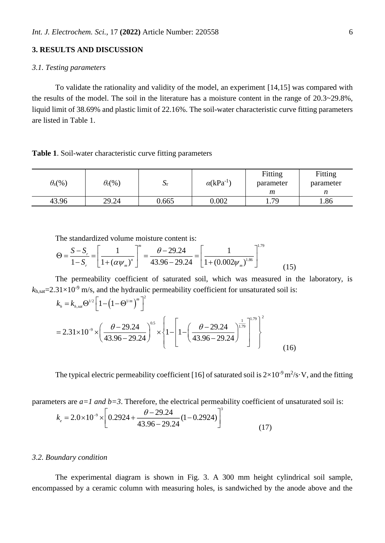# **3. RESULTS AND DISCUSSION**

## *3.1. Testing parameters*

To validate the rationality and validity of the model, an experiment [14,15] was compared with the results of the model. The soil in the literature has a moisture content in the range of 20.3~29.8%, liquid limit of 38.69% and plastic limit of 22.16%. The soil-water characteristic curve fitting parameters are listed in Table 1.

#### **Table 1**. Soil-water characteristic curve fitting parameters

| $\theta_{\rm s}(\%)$ | $\theta_{\rm r}$ (%) | $\mathbf{v}$ r | $\alpha$ (kPa <sup>-1</sup> | Fitting<br>parameter | Fitting<br>parameter |
|----------------------|----------------------|----------------|-----------------------------|----------------------|----------------------|
|                      |                      |                |                             | m                    |                      |
| 43.96                | 29.24                | 0.665          | 0.002                       | 70<br>1.1            | 1.86                 |

The standardized volume moisture content is:

$$
\Theta = \frac{S - S_r}{1 - S_r} = \left[ \frac{1}{1 + (\alpha \psi_m)^n} \right]^m = \frac{\theta - 29.24}{43.96 - 29.24} = \left[ \frac{1}{1 + (0.002 \psi_m)^{1.86}} \right]^{1.79} \tag{15}
$$

The permeability coefficient of saturated soil, which was measured in the laboratory, is  $k_{h, sat}$ =2.31×10<sup>-9</sup> m/s, and the hydraulic permeability coefficient for unsaturated soil is:

$$
k_{h} = k_{h,sat} \Theta^{1/2} \left[ 1 - \left( 1 - \Theta^{1/m} \right)^{m} \right]^{2}
$$
  
= 2.31×10<sup>-9</sup> ×  $\left( \frac{\theta - 29.24}{43.96 - 29.24} \right)^{0.5}$  ×  $\left\{ 1 - \left[ 1 - \left( \frac{\theta - 29.24}{43.96 - 29.24} \right)^{1.79} \right]^{2} \right\}^{2}$  (16)

The typical electric permeability coefficient [16] of saturated soil is  $2\times10^{-9}$  m<sup>2</sup>/s·V, and the fitting

parameters are 
$$
a=1
$$
 and  $b=3$ . Therefore, the electrical permeability coefficient of unsaturated soil is:  
\n
$$
k_e = 2.0 \times 10^{-9} \times \left[ 0.2924 + \frac{\theta - 29.24}{43.96 - 29.24} (1 - 0.2924) \right]^3
$$
\n(17)

## *3.2. Boundary condition*

The experimental diagram is shown in Fig. 3. A 300 mm height cylindrical soil sample, encompassed by a ceramic column with measuring holes, is sandwiched by the anode above and the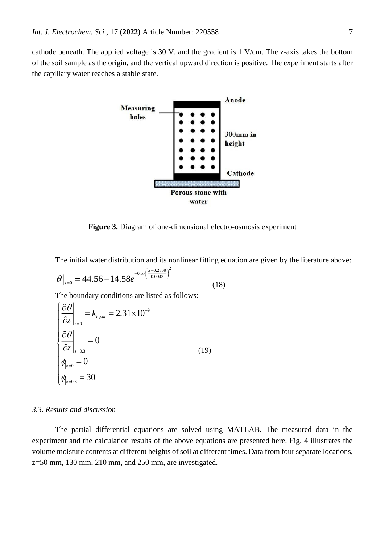cathode beneath. The applied voltage is 30 V, and the gradient is 1 V/cm. The z-axis takes the bottom of the soil sample as the origin, and the vertical upward direction is positive. The experiment starts after the capillary water reaches a stable state.



**Figure 3.** Diagram of one-dimensional electro-osmosis experiment

The initial water distribution and its nonlinear fitting equation are given by the literature above:

$$
\theta\big|_{t=0} = 44.56 - 14.58e^{-0.5 \times \left(\frac{z - 0.2809}{0.0943}\right)^2}
$$
(18)

The boundary conditions are listed as follows:

$$
\begin{cases}\n\frac{\partial \theta}{\partial z}\Big|_{z=0} = k_{h,sat} = 2.31 \times 10^{-9} \\
\frac{\partial \theta}{\partial z}\Big|_{z=0.3} = 0 \\
\phi_{|z=0} = 0 \\
\phi_{|z=0.3} = 30\n\end{cases}
$$
\n(19)

# *3.3. Results and discussion*

The partial differential equations are solved using MATLAB. The measured data in the experiment and the calculation results of the above equations are presented here. Fig. 4 illustrates the volume moisture contents at different heights of soil at different times. Data from four separate locations, z=50 mm, 130 mm, 210 mm, and 250 mm, are investigated.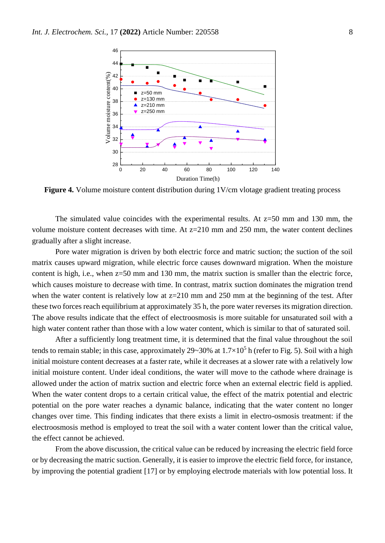

**Figure 4.** Volume moisture content distribution during 1V/cm vlotage gradient treating process

The simulated value coincides with the experimental results. At  $z=50$  mm and 130 mm, the volume moisture content decreases with time. At  $z=210$  mm and 250 mm, the water content declines gradually after a slight increase.

Pore water migration is driven by both electric force and matric suction; the suction of the soil matrix causes upward migration, while electric force causes downward migration. When the moisture content is high, i.e., when z=50 mm and 130 mm, the matrix suction is smaller than the electric force, which causes moisture to decrease with time. In contrast, matrix suction dominates the migration trend when the water content is relatively low at  $z=210$  mm and 250 mm at the beginning of the test. After these two forces reach equilibrium at approximately 35 h, the pore water reverses its migration direction. The above results indicate that the effect of electroosmosis is more suitable for unsaturated soil with a high water content rather than those with a low water content, which is similar to that of saturated soil.

After a sufficiently long treatment time, it is determined that the final value throughout the soil tends to remain stable; in this case, approximately 29~30% at  $1.7\times10^5$  h (refer to Fig. 5). Soil with a high initial moisture content decreases at a faster rate, while it decreases at a slower rate with a relatively low initial moisture content. Under ideal conditions, the water will move to the cathode where drainage is allowed under the action of matrix suction and electric force when an external electric field is applied. When the water content drops to a certain critical value, the effect of the matrix potential and electric potential on the pore water reaches a dynamic balance, indicating that the water content no longer changes over time. This finding indicates that there exists a limit in electro-osmosis treatment: if the electroosmosis method is employed to treat the soil with a water content lower than the critical value, the effect cannot be achieved.

From the above discussion, the critical value can be reduced by increasing the electric field force or by decreasing the matric suction. Generally, it is easier to improve the electric field force, for instance, by improving the potential gradient [17] or by employing electrode materials with low potential loss. It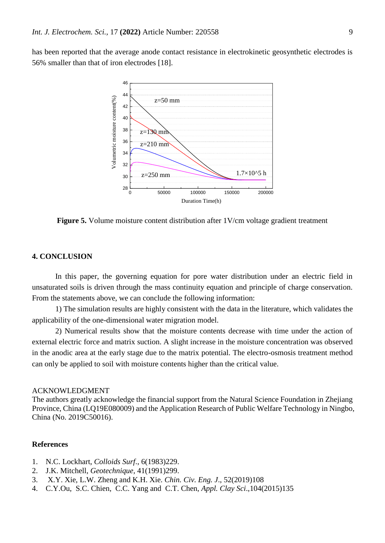has been reported that the average anode contact resistance in electrokinetic geosynthetic electrodes is 56% smaller than that of iron electrodes [18].



**Figure 5.** Volume moisture content distribution after 1V/cm voltage gradient treatment

# **4. CONCLUSION**

In this paper, the governing equation for pore water distribution under an electric field in unsaturated soils is driven through the mass continuity equation and principle of charge conservation. From the statements above, we can conclude the following information:

1) The simulation results are highly consistent with the data in the literature, which validates the applicability of the one-dimensional water migration model.

2) Numerical results show that the moisture contents decrease with time under the action of external electric force and matrix suction. A slight increase in the moisture concentration was observed in the anodic area at the early stage due to the matrix potential. The electro-osmosis treatment method can only be applied to soil with moisture contents higher than the critical value.

#### ACKNOWLEDGMENT

The authors greatly acknowledge the financial support from the Natural Science Foundation in Zhejiang Province, China (LQ19E080009) and the Application Research of Public Welfare Technology in Ningbo, China (No. 2019C50016).

# **References**

- 1. N.C. Lockhart, *Colloids Surf*., 6(1983)229.
- 2. J.K. Mitchell, *Geotechnique,* 41(1991)299.
- 3. X.Y. Xie, L.W. Zheng and K.H. Xie. *Chin. Civ. Eng. J*., 52(2019)108
- 4. C.Y.Ou, S.C. Chien, C.C. Yang and C.T. Chen, *Appl. Clay Sci*.,104(2015)135